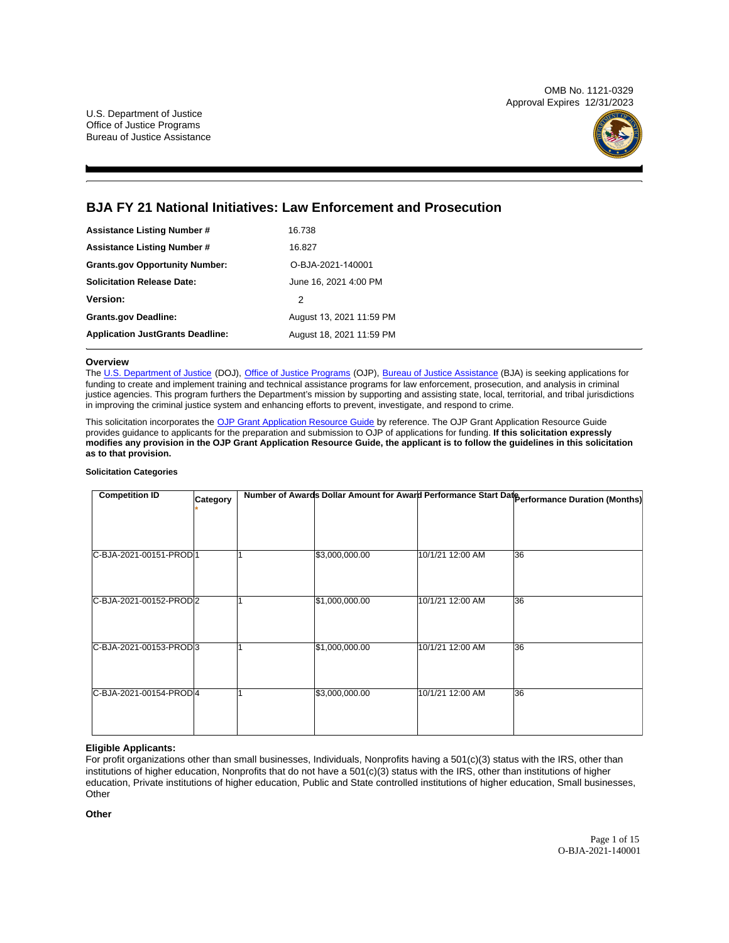OMB No. 1121-0329 Approval Expires 12/31/2023

U.S. Department of Justice Office of Justice Programs Bureau of Justice Assistance



## **BJA FY 21 National Initiatives: Law Enforcement and Prosecution**

| <b>Assistance Listing Number #</b>      | 16.738                   |
|-----------------------------------------|--------------------------|
| <b>Assistance Listing Number #</b>      | 16.827                   |
| <b>Grants.gov Opportunity Number:</b>   | O-BJA-2021-140001        |
| <b>Solicitation Release Date:</b>       | June 16, 2021 4:00 PM    |
| <b>Version:</b>                         | 2                        |
| <b>Grants.gov Deadline:</b>             | August 13, 2021 11:59 PM |
| <b>Application JustGrants Deadline:</b> | August 18, 2021 11:59 PM |

### **Overview**

The [U.S. Department of Justice](https://www.usdoj.gov/) (DOJ), [Office of Justice Programs](https://www.ojp.usdoj.gov/) (OJP), [Bureau of Justice Assistance](https://bja.ojp.gov/) (BJA) is seeking applications for funding to create and implement training and technical assistance programs for law enforcement, prosecution, and analysis in criminal justice agencies. This program furthers the Department's mission by supporting and assisting state, local, territorial, and tribal jurisdictions in improving the criminal justice system and enhancing efforts to prevent, investigate, and respond to crime.

This solicitation incorporates the [OJP Grant Application Resource Guide](https://www.ojp.gov/funding/Apply/Resources/Grant-App-Resource-Guide.htm) by reference. The OJP Grant Application Resource Guide provides guidance to applicants for the preparation and submission to OJP of applications for funding. **If this solicitation expressly modifies any provision in the OJP Grant Application Resource Guide, the applicant is to follow the guidelines in this solicitation as to that provision.** 

#### **Solicitation Categories**

| <b>Competition ID</b>  | Category |                |                  | Number of Awards Dollar Amount for Award Performance Start Date Performance Duration (Months) |
|------------------------|----------|----------------|------------------|-----------------------------------------------------------------------------------------------|
|                        |          |                |                  |                                                                                               |
|                        |          |                |                  |                                                                                               |
|                        |          |                |                  |                                                                                               |
| C-BJA-2021-00151-PROD1 |          | \$3,000,000.00 | 10/1/21 12:00 AM | 36                                                                                            |
|                        |          |                |                  |                                                                                               |
|                        |          |                |                  |                                                                                               |
| C-BJA-2021-00152-PROD2 |          | \$1,000,000.00 | 10/1/21 12:00 AM | 36                                                                                            |
|                        |          |                |                  |                                                                                               |
|                        |          |                |                  |                                                                                               |
| C-BJA-2021-00153-PROD3 |          | \$1,000,000.00 | 10/1/21 12:00 AM | 36                                                                                            |
|                        |          |                |                  |                                                                                               |
|                        |          |                |                  |                                                                                               |
| C-BJA-2021-00154-PROD4 |          | \$3,000,000.00 | 10/1/21 12:00 AM | 36                                                                                            |
|                        |          |                |                  |                                                                                               |
|                        |          |                |                  |                                                                                               |

## **Eligible Applicants:**

For profit organizations other than small businesses, Individuals, Nonprofits having a 501(c)(3) status with the IRS, other than institutions of higher education, Nonprofits that do not have a 501(c)(3) status with the IRS, other than institutions of higher education, Private institutions of higher education, Public and State controlled institutions of higher education, Small businesses, **Other** 

**Other**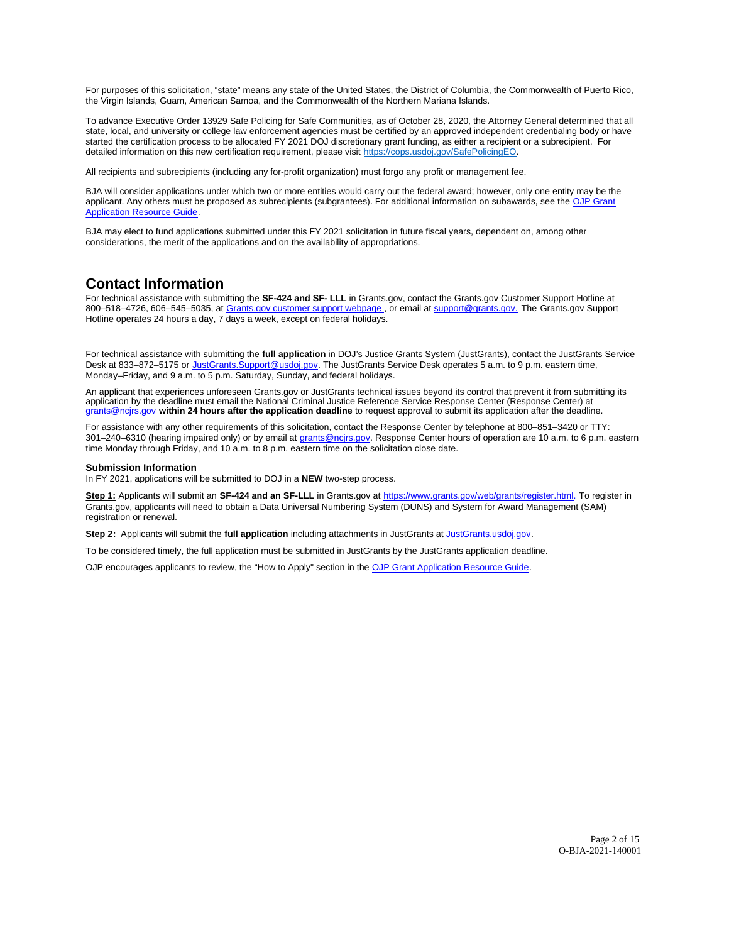<span id="page-1-0"></span>For purposes of this solicitation, "state" means any state of the United States, the District of Columbia, the Commonwealth of Puerto Rico, the Virgin Islands, Guam, American Samoa, and the Commonwealth of the Northern Mariana Islands.

To advance Executive Order 13929 Safe Policing for Safe Communities, as of October 28, 2020, the Attorney General determined that all state, local, and university or college law enforcement agencies must be certified by an approved independent credentialing body or have started the certification process to be allocated FY 2021 DOJ discretionary grant funding, as either a recipient or a subrecipient. For detailed information on this new certification requirement, please visit [https://cops.usdoj.gov/SafePolicingEO.](https://cops.usdoj.gov/SafePolicingEO)

All recipients and subrecipients (including any for-profit organization) must forgo any profit or management fee.

BJA will consider applications under which two or more entities would carry out the federal award; however, only one entity may be the applicant. Any others must be proposed as subrecipients (subgrantees). For additional information on subawards, see the [OJP Grant](https://www.ojp.gov/funding/Apply/Resources/Grant-App-Resource-Guide.htm)  [Application Resource Guide.](https://www.ojp.gov/funding/Apply/Resources/Grant-App-Resource-Guide.htm)

BJA may elect to fund applications submitted under this FY 2021 solicitation in future fiscal years, dependent on, among other considerations, the merit of the applications and on the availability of appropriations.

## **Contact Information**

For technical assistance with submitting the **SF-424 and SF- LLL** in [Grants.gov](https://Grants.gov), contact the [Grants.gov](https://Grants.gov) Customer Support Hotline at 800–518–4726, 606–545–5035, at [Grants.gov customer support webpage ,](https://www.grants.gov/web/grants/support.html) or email at [support@grants.gov.](mailto:support@grants.gov) The [Grants.gov](https://Grants.gov) Support Hotline operates 24 hours a day, 7 days a week, except on federal holidays.

For technical assistance with submitting the **full application** in DOJ's Justice Grants System (JustGrants), contact the JustGrants Service Desk at 833–872–5175 or [JustGrants.Support@usdoj.gov.](mailto:JustGrants.Support@usdoj.gov) The JustGrants Service Desk operates 5 a.m. to 9 p.m. eastern time, Monday–Friday, and 9 a.m. to 5 p.m. Saturday, Sunday, and federal holidays.

An applicant that experiences unforeseen [Grants.gov](https://Grants.gov) or JustGrants technical issues beyond its control that prevent it from submitting its<br>application by the deadline must email the National Criminal Justice Reference Servi [grants@ncjrs.gov](mailto:grants@ncjrs.gov) **within 24 hours after the application deadline** to request approval to submit its application after the deadline.

For assistance with any other requirements of this solicitation, contact the Response Center by telephone at 800–851–3420 or TTY: 301–240–6310 (hearing impaired only) or by email at [grants@ncjrs.gov.](mailto:grants@ncjrs.gov) Response Center hours of operation are 10 a.m. to 6 p.m. eastern time Monday through Friday, and 10 a.m. to 8 p.m. eastern time on the solicitation close date.

#### **Submission Information**

In FY 2021, applications will be submitted to DOJ in a **NEW** two-step process.

**Step 1:** Applicants will submit an **SF-424 and an SF-LLL** in [Grants.gov](https://Grants.gov) at [https://www.grants.gov/web/grants/register.html.](https://www.grants.gov/web/grants/register.html) To register in [Grants.gov](https://Grants.gov), applicants will need to obtain a Data Universal Numbering System (DUNS) and System for Award Management (SAM) registration or renewal.

**Step 2:** Applicants will submit the **full application** including attachments in JustGrants at [JustGrants.usdoj.gov.](https://justicegrants.usdoj.gov/)

To be considered timely, the full application must be submitted in JustGrants by the JustGrants application deadline.

OJP encourages applicants to review, the "How to Apply" section in the [OJP Grant Application Resource Guide.](https://www.ojp.gov/funding/apply/ojp-grant-application-resource-guide#apply)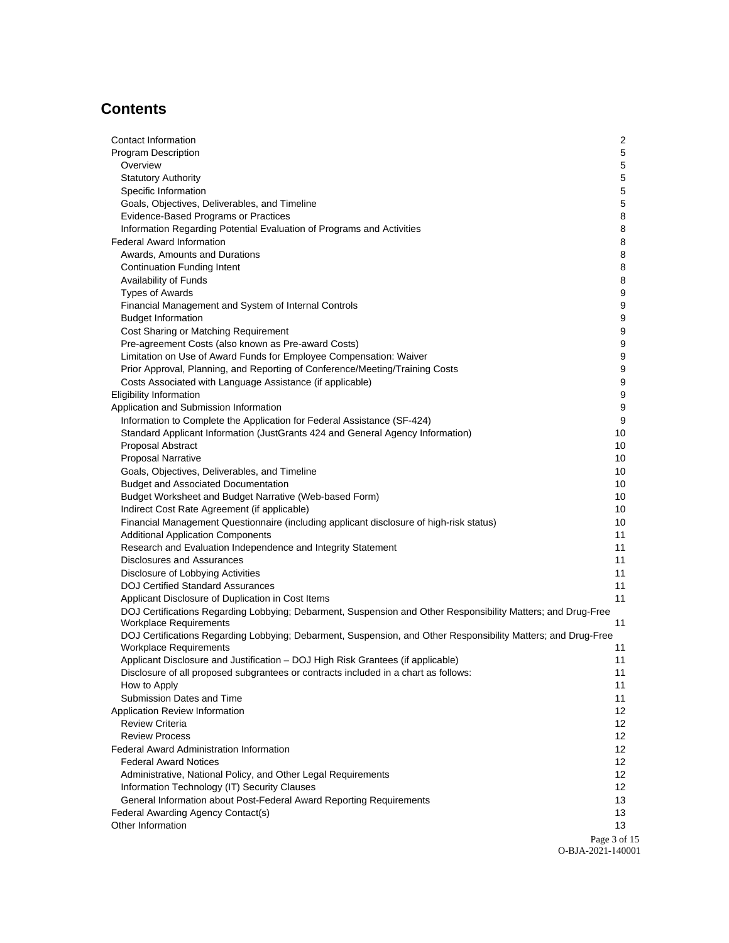# **Contents**

| Contact Information                                                                                                                            | 2                 |
|------------------------------------------------------------------------------------------------------------------------------------------------|-------------------|
| Program Description                                                                                                                            | 5                 |
| Overview                                                                                                                                       | 5                 |
| <b>Statutory Authority</b>                                                                                                                     | 5                 |
| Specific Information                                                                                                                           | 5                 |
| Goals, Objectives, Deliverables, and Timeline                                                                                                  | 5                 |
| Evidence-Based Programs or Practices                                                                                                           | 8                 |
| Information Regarding Potential Evaluation of Programs and Activities                                                                          | 8                 |
| <b>Federal Award Information</b>                                                                                                               | 8                 |
| Awards, Amounts and Durations                                                                                                                  | 8                 |
| <b>Continuation Funding Intent</b>                                                                                                             | 8                 |
| Availability of Funds                                                                                                                          | 8                 |
| <b>Types of Awards</b>                                                                                                                         | 9                 |
| Financial Management and System of Internal Controls                                                                                           | 9                 |
| <b>Budget Information</b>                                                                                                                      | 9                 |
| Cost Sharing or Matching Requirement                                                                                                           | 9                 |
| Pre-agreement Costs (also known as Pre-award Costs)                                                                                            | 9                 |
| Limitation on Use of Award Funds for Employee Compensation: Waiver                                                                             | 9                 |
| Prior Approval, Planning, and Reporting of Conference/Meeting/Training Costs                                                                   | 9                 |
| Costs Associated with Language Assistance (if applicable)                                                                                      | 9                 |
| <b>Eligibility Information</b>                                                                                                                 | 9                 |
| Application and Submission Information                                                                                                         | 9                 |
| Information to Complete the Application for Federal Assistance (SF-424)                                                                        | 9                 |
| Standard Applicant Information (JustGrants 424 and General Agency Information)                                                                 | 10                |
| Proposal Abstract                                                                                                                              | 10                |
| <b>Proposal Narrative</b>                                                                                                                      | 10                |
| Goals, Objectives, Deliverables, and Timeline                                                                                                  | 10                |
| <b>Budget and Associated Documentation</b>                                                                                                     | 10                |
| Budget Worksheet and Budget Narrative (Web-based Form)                                                                                         | 10                |
| Indirect Cost Rate Agreement (if applicable)                                                                                                   | 10                |
| Financial Management Questionnaire (including applicant disclosure of high-risk status)                                                        | 10                |
| <b>Additional Application Components</b>                                                                                                       | 11                |
| Research and Evaluation Independence and Integrity Statement                                                                                   | 11                |
| Disclosures and Assurances                                                                                                                     | 11                |
| Disclosure of Lobbying Activities                                                                                                              | 11                |
| <b>DOJ Certified Standard Assurances</b>                                                                                                       | 11                |
| Applicant Disclosure of Duplication in Cost Items                                                                                              | 11                |
| DOJ Certifications Regarding Lobbying; Debarment, Suspension and Other Responsibility Matters; and Drug-Free                                   |                   |
| <b>Workplace Requirements</b>                                                                                                                  | 11                |
| DOJ Certifications Regarding Lobbying; Debarment, Suspension, and Other Responsibility Matters; and Drug-Free<br><b>Workplace Requirements</b> | 11                |
| Applicant Disclosure and Justification - DOJ High Risk Grantees (if applicable)                                                                | 11                |
| Disclosure of all proposed subgrantees or contracts included in a chart as follows:                                                            | 11                |
| How to Apply                                                                                                                                   | 11                |
| Submission Dates and Time                                                                                                                      | 11                |
| Application Review Information                                                                                                                 | 12                |
| <b>Review Criteria</b>                                                                                                                         | 12                |
| <b>Review Process</b>                                                                                                                          | 12                |
| <b>Federal Award Administration Information</b>                                                                                                | 12                |
| <b>Federal Award Notices</b>                                                                                                                   | 12                |
| Administrative, National Policy, and Other Legal Requirements                                                                                  | 12                |
| Information Technology (IT) Security Clauses                                                                                                   | 12                |
| General Information about Post-Federal Award Reporting Requirements                                                                            | 13                |
| Federal Awarding Agency Contact(s)                                                                                                             | 13                |
| Other Information                                                                                                                              | 13                |
|                                                                                                                                                | Page 3 of 15      |
|                                                                                                                                                | O-BJA-2021-140001 |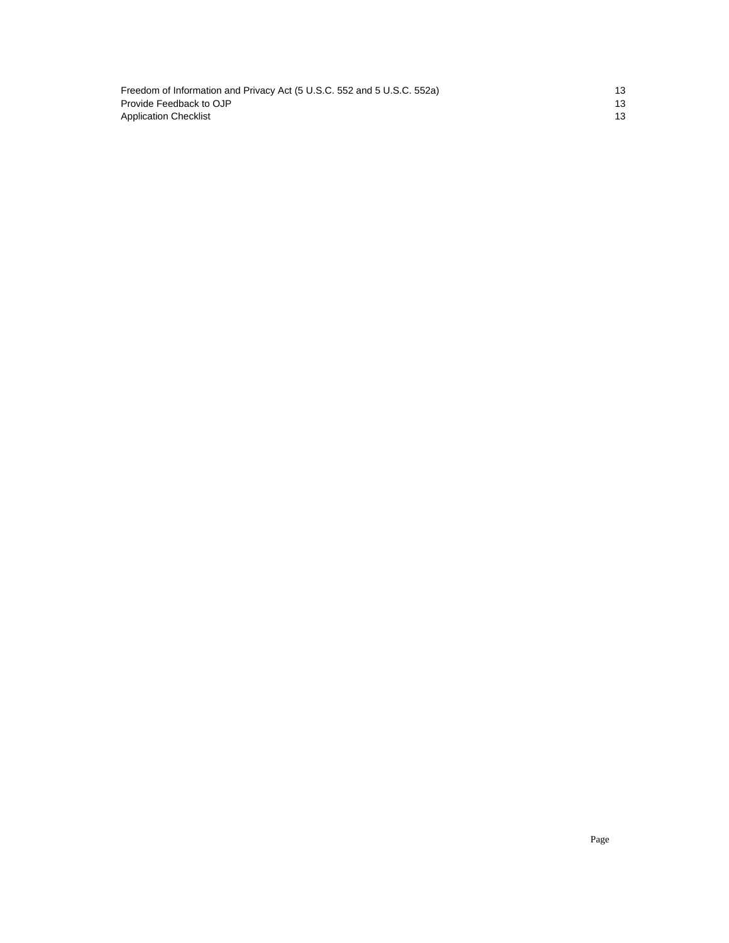[Freedom of Information and Privacy Act \(5 U.S.C. 552 and 5 U.S.C. 552a\) 13](#page-12-0)  Provide Feedback to OJP 13 Application Checklist 13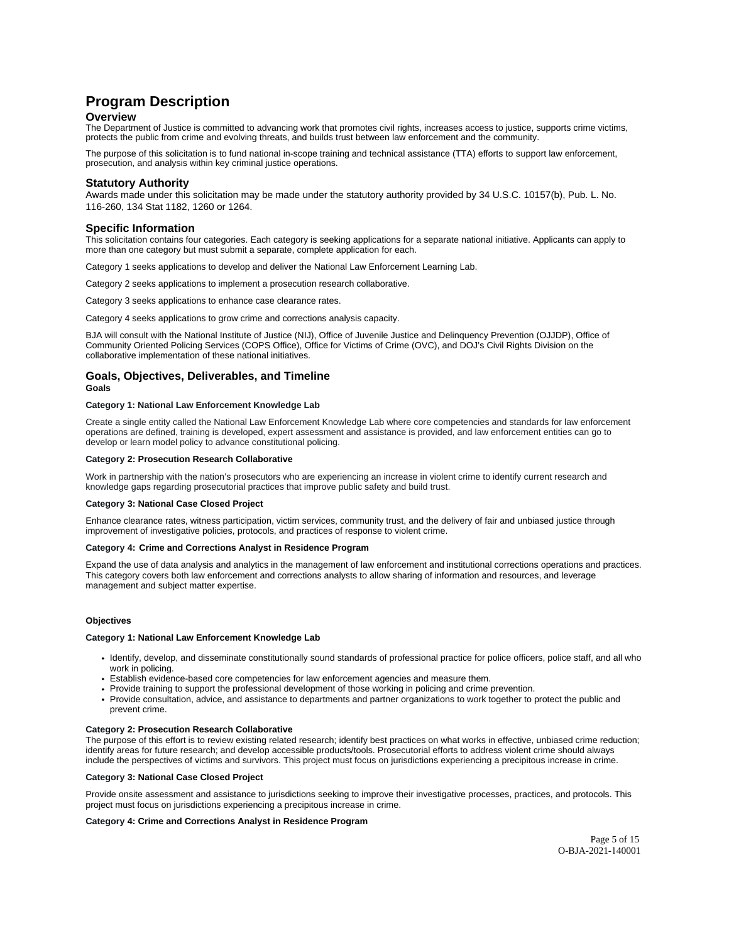## <span id="page-4-0"></span>**Program Description**

### **Overview**

The Department of Justice is committed to advancing work that promotes civil rights, increases access to justice, supports crime victims, protects the public from crime and evolving threats, and builds trust between law enforcement and the community.

The purpose of this solicitation is to fund national in-scope training and technical assistance (TTA) efforts to support law enforcement, prosecution, and analysis within key criminal justice operations.

## **Statutory Authority**

Awards made under this solicitation may be made under the statutory authority provided by 34 U.S.C. 10157(b), Pub. L. No. 116-260, 134 Stat 1182, 1260 or 1264.

### **Specific Information**

This solicitation contains four categories. Each category is seeking applications for a separate national initiative. Applicants can apply to more than one category but must submit a separate, complete application for each.

Category 1 seeks applications to develop and deliver the National Law Enforcement Learning Lab.

Category 2 seeks applications to implement a prosecution research collaborative.

Category 3 seeks applications to enhance case clearance rates.

Category 4 seeks applications to grow crime and corrections analysis capacity.

BJA will consult with the National Institute of Justice (NIJ), Office of Juvenile Justice and Delinquency Prevention (OJJDP), Office of Community Oriented Policing Services (COPS Office), Office for Victims of Crime (OVC), and DOJ's Civil Rights Division on the collaborative implementation of these national initiatives.

## **Goals, Objectives, Deliverables, and Timeline Goals**

#### **Category 1: National Law Enforcement Knowledge Lab**

Create a single entity called the National Law Enforcement Knowledge Lab where core competencies and standards for law enforcement operations are defined, training is developed, expert assessment and assistance is provided, and law enforcement entities can go to develop or learn model policy to advance constitutional policing.

#### **Category 2: Prosecution Research Collaborative**

Work in partnership with the nation's prosecutors who are experiencing an increase in violent crime to identify current research and knowledge gaps regarding prosecutorial practices that improve public safety and build trust.

#### **Category 3: National Case Closed Project**

Enhance clearance rates, witness participation, victim services, community trust, and the delivery of fair and unbiased justice through improvement of investigative policies, protocols, and practices of response to violent crime.

#### **Category 4: Crime and Corrections Analyst in Residence Program**

Expand the use of data analysis and analytics in the management of law enforcement and institutional corrections operations and practices. This category covers both law enforcement and corrections analysts to allow sharing of information and resources, and leverage management and subject matter expertise.

#### **Objectives**

#### **Category 1: National Law Enforcement Knowledge Lab**

- Identify, develop, and disseminate constitutionally sound standards of professional practice for police officers, police staff, and all who work in policing.
- Establish evidence-based core competencies for law enforcement agencies and measure them.
- Provide training to support the professional development of those working in policing and crime prevention.
- Provide consultation, advice, and assistance to departments and partner organizations to work together to protect the public and prevent crime.

#### **Category 2: Prosecution Research Collaborative**

The purpose of this effort is to review existing related research; identify best practices on what works in effective, unbiased crime reduction; identify areas for future research; and develop accessible products/tools. Prosecutorial efforts to address violent crime should always include the perspectives of victims and survivors. This project must focus on jurisdictions experiencing a precipitous increase in crime.

#### **Category 3: National Case Closed Project**

Provide onsite assessment and assistance to jurisdictions seeking to improve their investigative processes, practices, and protocols. This project must focus on jurisdictions experiencing a precipitous increase in crime.

#### **Category 4: Crime and Corrections Analyst in Residence Program**

Page 5 of 15 O-BJA-2021-140001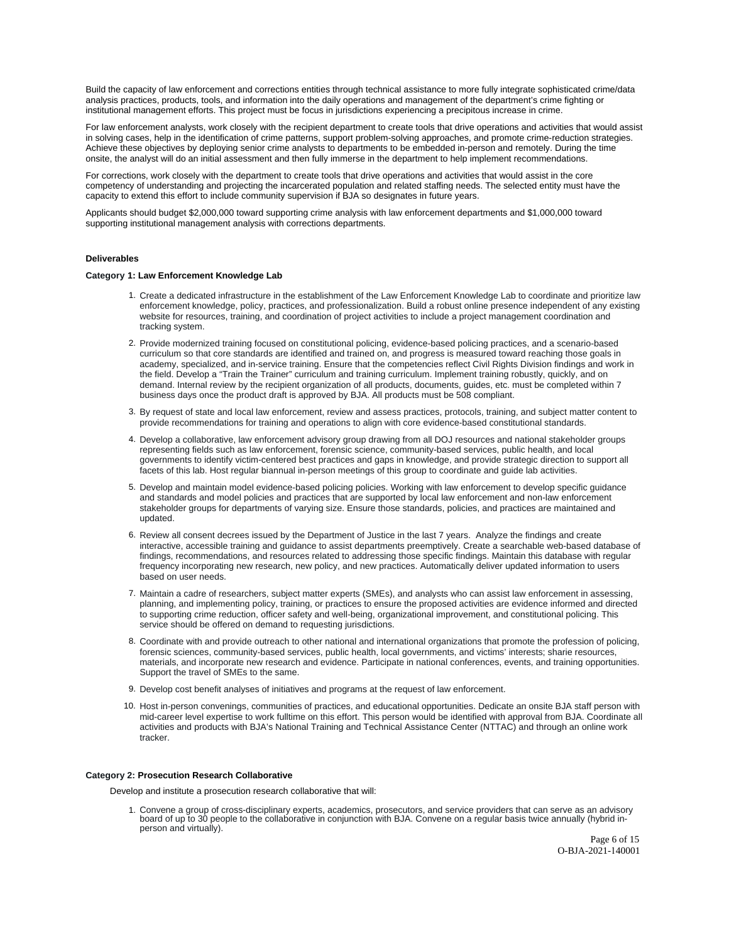Build the capacity of law enforcement and corrections entities through technical assistance to more fully integrate sophisticated crime/data analysis practices, products, tools, and information into the daily operations and management of the department's crime fighting or institutional management efforts. This project must be focus in jurisdictions experiencing a precipitous increase in crime.

For law enforcement analysts, work closely with the recipient department to create tools that drive operations and activities that would assist in solving cases, help in the identification of crime patterns, support problem-solving approaches, and promote crime-reduction strategies. Achieve these objectives by deploying senior crime analysts to departments to be embedded in-person and remotely. During the time onsite, the analyst will do an initial assessment and then fully immerse in the department to help implement recommendations.

For corrections, work closely with the department to create tools that drive operations and activities that would assist in the core competency of understanding and projecting the incarcerated population and related staffing needs. The selected entity must have the capacity to extend this effort to include community supervision if BJA so designates in future years.

Applicants should budget \$2,000,000 toward supporting crime analysis with law enforcement departments and \$1,000,000 toward supporting institutional management analysis with corrections departments.

#### **Deliverables**

#### **Category 1: Law Enforcement Knowledge Lab**

- 1. Create a dedicated infrastructure in the establishment of the Law Enforcement Knowledge Lab to coordinate and prioritize law enforcement knowledge, policy, practices, and professionalization. Build a robust online presence independent of any existing website for resources, training, and coordination of project activities to include a project management coordination and tracking system.
- 2. Provide modernized training focused on constitutional policing, evidence-based policing practices, and a scenario-based curriculum so that core standards are identified and trained on, and progress is measured toward reaching those goals in academy, specialized, and in-service training. Ensure that the competencies reflect Civil Rights Division findings and work in the field. Develop a "Train the Trainer" curriculum and training curriculum. Implement training robustly, quickly, and on demand. Internal review by the recipient organization of all products, documents, guides, etc. must be completed within 7 business days once the product draft is approved by BJA. All products must be 508 compliant.
- 3. By request of state and local law enforcement, review and assess practices, protocols, training, and subject matter content to provide recommendations for training and operations to align with core evidence-based constitutional standards.
- 4. Develop a collaborative, law enforcement advisory group drawing from all DOJ resources and national stakeholder groups representing fields such as law enforcement, forensic science, community-based services, public health, and local governments to identify victim-centered best practices and gaps in knowledge, and provide strategic direction to support all facets of this lab. Host regular biannual in-person meetings of this group to coordinate and guide lab activities.
- 5. Develop and maintain model evidence-based policing policies. Working with law enforcement to develop specific guidance and standards and model policies and practices that are supported by local law enforcement and non-law enforcement stakeholder groups for departments of varying size. Ensure those standards, policies, and practices are maintained and updated.
- 6. Review all consent decrees issued by the Department of Justice in the last 7 years. Analyze the findings and create interactive, accessible training and guidance to assist departments preemptively. Create a searchable web-based database of findings, recommendations, and resources related to addressing those specific findings. Maintain this database with regular frequency incorporating new research, new policy, and new practices. Automatically deliver updated information to users based on user needs.
- 7. Maintain a cadre of researchers, subject matter experts (SMEs), and analysts who can assist law enforcement in assessing, planning, and implementing policy, training, or practices to ensure the proposed activities are evidence informed and directed to supporting crime reduction, officer safety and well-being, organizational improvement, and constitutional policing. This service should be offered on demand to requesting jurisdictions.
- 8. Coordinate with and provide outreach to other national and international organizations that promote the profession of policing, forensic sciences, community-based services, public health, local governments, and victims' interests; sharie resources, materials, and incorporate new research and evidence. Participate in national conferences, events, and training opportunities. Support the travel of SMEs to the same.
- 9. Develop cost benefit analyses of initiatives and programs at the request of law enforcement.
- 10. Host in-person convenings, communities of practices, and educational opportunities. Dedicate an onsite BJA staff person with mid-career level expertise to work fulltime on this effort. This person would be identified with approval from BJA. Coordinate all activities and products with BJA's National Training and Technical Assistance Center (NTTAC) and through an online work tracker.

#### **Category 2: Prosecution Research Collaborative**

Develop and institute a prosecution research collaborative that will:

1. Convene a group of cross-disciplinary experts, academics, prosecutors, and service providers that can serve as an advisory board of up to 30 people to the collaborative in conjunction with BJA. Convene on a regular basis twice annually (hybrid inperson and virtually).

> Page 6 of 15 O-BJA-2021-140001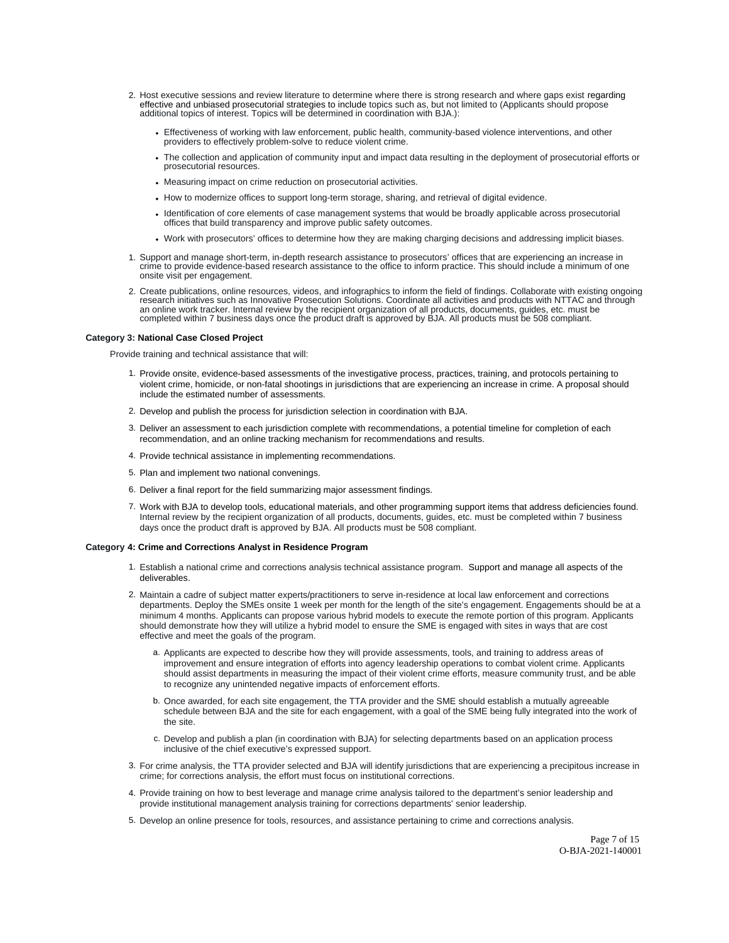- 2. Host executive sessions and review literature to determine where there is strong research and where gaps exist regarding<br>effective and unbiased prosecutorial strategies to include topics such as, but not limited to (App additional topics of interest. Topics will be determined in coordination with BJA.):
	- Effectiveness of working with law enforcement, public health, community-based violence interventions, and other providers to effectively problem-solve to reduce violent crime.
	- The collection and application of community input and impact data resulting in the deployment of prosecutorial efforts or prosecutorial resources.
	- Measuring impact on crime reduction on prosecutorial activities.
	- How to modernize offices to support long-term storage, sharing, and retrieval of digital evidence.
	- Identification of core elements of case management systems that would be broadly applicable across prosecutorial offices that build transparency and improve public safety outcomes.
	- Work with prosecutors' offices to determine how they are making charging decisions and addressing implicit biases.
- 1. Support and manage short-term, in-depth research assistance to prosecutors' offices that are experiencing an increase in crime to provide evidence-based research assistance to the office to inform practice. This should include a minimum of one onsite visit per engagement.
- 2. Create publications, online resources, videos, and infographics to inform the field of findings. Collaborate with existing ongoing research initiatives such as Innovative Prosecution Solutions. Coordinate all activities and products with NTTAC and through an online work tracker. Internal review by the recipient organization of all products, documents, guides, etc. must be<br>completed within 7 business days once the product draft is approved by BJA. All products must be 508 co

#### **Category 3: National Case Closed Project**

Provide training and technical assistance that will:

- 1. Provide onsite, evidence-based assessments of the investigative process, practices, training, and protocols pertaining to violent crime, homicide, or non-fatal shootings in jurisdictions that are experiencing an increase in crime. A proposal should include the estimated number of assessments.
- 2. Develop and publish the process for jurisdiction selection in coordination with BJA.
- 3. Deliver an assessment to each jurisdiction complete with recommendations, a potential timeline for completion of each recommendation, and an online tracking mechanism for recommendations and results.
- 4. Provide technical assistance in implementing recommendations.
- 5. Plan and implement two national convenings.
- 6. Deliver a final report for the field summarizing major assessment findings.
- 7. Work with BJA to develop tools, educational materials, and other programming support items that address deficiencies found. Internal review by the recipient organization of all products, documents, guides, etc. must be completed within 7 business days once the product draft is approved by BJA. All products must be 508 compliant.

#### **Category 4: Crime and Corrections Analyst in Residence Program**

- 1. Establish a national crime and corrections analysis technical assistance program. Support and manage all aspects of the deliverables.
- 2. Maintain a cadre of subject matter experts/practitioners to serve in-residence at local law enforcement and corrections departments. Deploy the SMEs onsite 1 week per month for the length of the site's engagement. Engagements should be at a minimum 4 months. Applicants can propose various hybrid models to execute the remote portion of this program. Applicants should demonstrate how they will utilize a hybrid model to ensure the SME is engaged with sites in ways that are cost effective and meet the goals of the program.
	- a. Applicants are expected to describe how they will provide assessments, tools, and training to address areas of improvement and ensure integration of efforts into agency leadership operations to combat violent crime. Applicants should assist departments in measuring the impact of their violent crime efforts, measure community trust, and be able to recognize any unintended negative impacts of enforcement efforts.
	- b. Once awarded, for each site engagement, the TTA provider and the SME should establish a mutually agreeable schedule between BJA and the site for each engagement, with a goal of the SME being fully integrated into the work of the site.
	- c. Develop and publish a plan (in coordination with BJA) for selecting departments based on an application process inclusive of the chief executive's expressed support.
- 3. For crime analysis, the TTA provider selected and BJA will identify jurisdictions that are experiencing a precipitous increase in crime; for corrections analysis, the effort must focus on institutional corrections.
- 4. Provide training on how to best leverage and manage crime analysis tailored to the department's senior leadership and provide institutional management analysis training for corrections departments' senior leadership.
- 5. Develop an online presence for tools, resources, and assistance pertaining to crime and corrections analysis.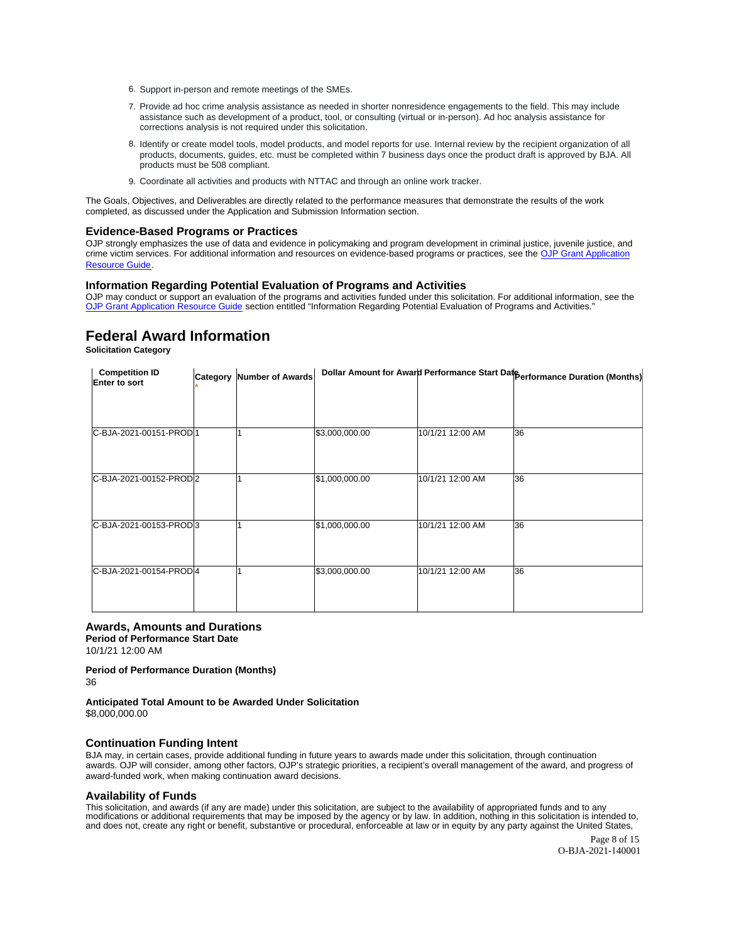- <span id="page-7-0"></span>6. Support in-person and remote meetings of the SMEs.
- 7. Provide ad hoc crime analysis assistance as needed in shorter nonresidence engagements to the field. This may include assistance such as development of a product, tool, or consulting (virtual or in-person). Ad hoc analysis assistance for corrections analysis is not required under this solicitation.
- 8. Identify or create model tools, model products, and model reports for use. Internal review by the recipient organization of all products, documents, guides, etc. must be completed within 7 business days once the product draft is approved by BJA. All products must be 508 compliant.
- 9. Coordinate all activities and products with NTTAC and through an online work tracker.

The Goals, Objectives, and Deliverables are directly related to the performance measures that demonstrate the results of the work completed, as discussed under the Application and Submission Information section.

#### **Evidence-Based Programs or Practices**

OJP strongly emphasizes the use of data and evidence in policymaking and program development in criminal justice, juvenile justice, and crime victim services. For additional information and resources on evidence-based programs or practices, see the [OJP Grant Application](https://www.ojp.gov/funding/Apply/Resources/Grant-App-Resource-Guide.htm)  [Resource Guide.](https://www.ojp.gov/funding/Apply/Resources/Grant-App-Resource-Guide.htm)

#### **Information Regarding Potential Evaluation of Programs and Activities**

OJP may conduct or support an evaluation of the programs and activities funded under this solicitation. For additional information, see the [OJP Grant Application Resource Guide](https://www.ojp.gov/funding/apply/ojp-grant-application-resource-guide#potential-evaluation) section entitled "Information Regarding Potential Evaluation of Programs and Activities."

## **Federal Award Information**

**Solicitation Category** 

| <b>Competition ID</b><br>Enter to sort | Category Number of Awards |                |                  | Dollar Amount for Award Performance Start Date Performance Duration (Months) |
|----------------------------------------|---------------------------|----------------|------------------|------------------------------------------------------------------------------|
|                                        |                           |                |                  |                                                                              |
| C-BJA-2021-00151-PROD1                 |                           | \$3,000,000.00 | 10/1/21 12:00 AM | 36                                                                           |
| C-BJA-2021-00152-PROD2                 |                           | \$1,000,000.00 | 10/1/21 12:00 AM | 36                                                                           |
| C-BJA-2021-00153-PROD3                 |                           | \$1,000,000.00 | 10/1/21 12:00 AM | 36                                                                           |
| C-BJA-2021-00154-PROD4                 |                           | \$3,000,000.00 | 10/1/21 12:00 AM | 36                                                                           |

## **Awards, Amounts and Durations**

**Period of Performance Start Date**  10/1/21 12:00 AM

## **Period of Performance Duration (Months)**

36

## **Anticipated Total Amount to be Awarded Under Solicitation**

\$[8,000,000.00](https://8,000,000.00)

#### **Continuation Funding Intent**

BJA may, in certain cases, provide additional funding in future years to awards made under this solicitation, through continuation awards. OJP will consider, among other factors, OJP's strategic priorities, a recipient's overall management of the award, and progress of award-funded work, when making continuation award decisions.

#### **Availability of Funds**

This solicitation, and awards (if any are made) under this solicitation, are subject to the availability of appropriated funds and to any modifications or additional requirements that may be imposed by the agency or by law. In addition, nothing in this solicitation is intended to, and does not, create any right or benefit, substantive or procedural, enforceable at law or in equity by any party against the United States,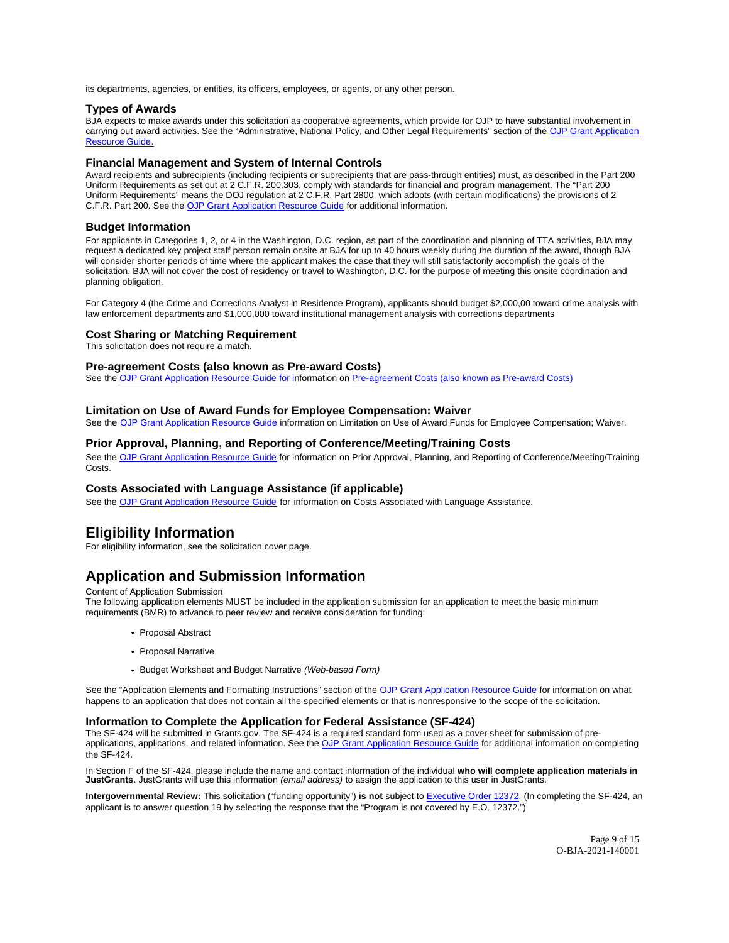<span id="page-8-0"></span>its departments, agencies, or entities, its officers, employees, or agents, or any other person.

## **Types of Awards**

BJA expects to make awards under this solicitation as cooperative agreements, which provide for OJP to have substantial involvement in carrying out award activities. See the "Administrative, National Policy, and Other Legal Requirements" section of the [OJP Grant Application](https://ojp.gov/funding/Apply/Resources/Grant-App-Resource-Guide.htm)  [Resource Guide.](https://ojp.gov/funding/Apply/Resources/Grant-App-Resource-Guide.htm)

## **Financial Management and System of Internal Controls**

Award recipients and subrecipients (including recipients or subrecipients that are pass-through entities) must, as described in the Part 200 Uniform Requirements as set out at 2 C.F.R. 200.303, comply with standards for financial and program management. The "Part 200 Uniform Requirements" means the DOJ regulation at 2 C.F.R. Part 2800, which adopts (with certain modifications) the provisions of 2 C.F.R. Part 200. See the [OJP Grant Application Resource Guide](https://www.ojp.gov/funding/Apply/Resources/Grant-App-Resource-Guide.htm) for additional information.

## **Budget Information**

For applicants in Categories 1, 2, or 4 in the Washington, D.C. region, as part of the coordination and planning of TTA activities, BJA may request a dedicated key project staff person remain onsite at BJA for up to 40 hours weekly during the duration of the award, though BJA will consider shorter periods of time where the applicant makes the case that they will still satisfactorily accomplish the goals of the solicitation. BJA will not cover the cost of residency or travel to Washington, D.C. for the purpose of meeting this onsite coordination and planning obligation.

For Category 4 (the Crime and Corrections Analyst in Residence Program), applicants should budget \$2,000,00 toward crime analysis with law enforcement departments and \$1,000,000 toward institutional management analysis with corrections departments

#### **Cost Sharing or Matching Requirement**

This solicitation does not require a match.

### **Pre-agreement Costs (also known as Pre-award Costs)**

See the [OJP Grant Application Resource Guide](https://ojp.gov/funding/Apply/Resources/Grant-App-Resource-Guide.htm) for information on [Pre-agreement Costs \(also known as Pre-award Costs\)](https://www.ojp.gov/funding/Apply/Resources/Grant-App-Resource-Guide.htm#pre-agreement) 

### **Limitation on Use of Award Funds for Employee Compensation: Waiver**

See the [OJP Grant Application Resource Guide](https://www.ojp.gov/funding/apply/ojp-grant-application-resource-guide#limitation-use-award) information on Limitation on Use of Award Funds for Employee Compensation; Waiver.

## **Prior Approval, Planning, and Reporting of Conference/Meeting/Training Costs**

See the [OJP Grant Application Resource Guide](https://www.ojp.gov/funding/apply/ojp-grant-application-resource-guide#prior-approval) for information on Prior Approval, Planning, and Reporting of Conference/Meeting/Training Costs.

## **Costs Associated with Language Assistance (if applicable)**

See the [OJP Grant Application Resource Guide](https://www.ojp.gov/funding/apply/ojp-grant-application-resource-guide#costs-associated) for information on Costs Associated with Language Assistance.

## **Eligibility Information**

For eligibility information, see the solicitation cover page.

## **Application and Submission Information**

#### Content of Application Submission

The following application elements MUST be included in the application submission for an application to meet the basic minimum requirements (BMR) to advance to peer review and receive consideration for funding:

- Proposal Abstract
- Proposal Narrative
- Budget Worksheet and Budget Narrative (Web-based Form)

See the "Application Elements and Formatting Instructions" section of the [OJP Grant Application Resource Guide](https://ojp.gov/funding/Apply/Resources/Grant-App-Resource-Guide.htm) for information on what happens to an application that does not contain all the specified elements or that is nonresponsive to the scope of the solicitation.

### **Information to Complete the Application for Federal Assistance (SF-424)**

The SF-424 will be submitted in [Grants.gov](https://Grants.gov). The SF-424 is a required standard form used as a cover sheet for submission of pre-applications, applications, and related information. See the [OJP Grant Application Resource Guide](https://www.ojp.gov/funding/Apply/Resources/Grant-App-Resource-Guide.htm) for additional information on completing the SF-424.

In Section F of the SF-424, please include the name and contact information of the individual **who will complete application materials in JustGrants**. JustGrants will use this information (email address) to assign the application to this user in JustGrants.

**Intergovernmental Review:** This solicitation ("funding opportunity") **is not** subject to [Executive Order 12372.](https://www.archives.gov/federal-register/codification/executive-order/12372.html) (In completing the SF-424, an applicant is to answer question 19 by selecting the response that the "Program is not covered by E.O. 12372.")

> Page 9 of 15 O-BJA-2021-140001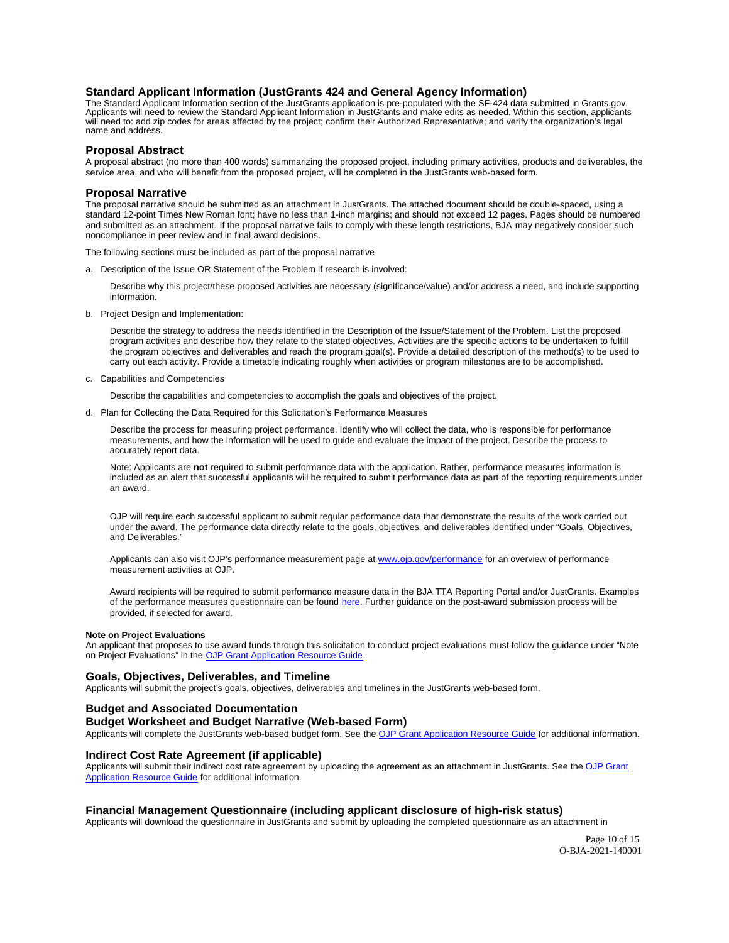## <span id="page-9-0"></span>**Standard Applicant Information (JustGrants 424 and General Agency Information)**

The Standard Applicant Information section of the JustGrants application is pre-populated with the SF-424 data submitted in [Grants.gov.](https://Grants.gov) Applicants will need to review the Standard Applicant Information in JustGrants and make edits as needed. Within this section, applicants will need to: add zip codes for areas affected by the project; confirm their Authorized Representative; and verify the organization's legal name and address.

#### **Proposal Abstract**

A proposal abstract (no more than 400 words) summarizing the proposed project, including primary activities, products and deliverables, the service area, and who will benefit from the proposed project, will be completed in the JustGrants web-based form.

#### **Proposal Narrative**

The proposal narrative should be submitted as an attachment in JustGrants. The attached document should be double-spaced, using a standard 12-point Times New Roman font; have no less than 1-inch margins; and should not exceed 12 pages. Pages should be numbered and submitted as an attachment. If the proposal narrative fails to comply with these length restrictions, BJA may negatively consider such noncompliance in peer review and in final award decisions.

The following sections must be included as part of the proposal narrative

a. Description of the Issue OR Statement of the Problem if research is involved:

Describe why this project/these proposed activities are necessary (significance/value) and/or address a need, and include supporting information.

b. Project Design and Implementation:

Describe the strategy to address the needs identified in the Description of the Issue/Statement of the Problem. List the proposed program activities and describe how they relate to the stated objectives. Activities are the specific actions to be undertaken to fulfill the program objectives and deliverables and reach the program goal(s). Provide a detailed description of the method(s) to be used to carry out each activity. Provide a timetable indicating roughly when activities or program milestones are to be accomplished.

c. Capabilities and Competencies

Describe the capabilities and competencies to accomplish the goals and objectives of the project.

d. Plan for Collecting the Data Required for this Solicitation's Performance Measures

Describe the process for measuring project performance. Identify who will collect the data, who is responsible for performance measurements, and how the information will be used to guide and evaluate the impact of the project. Describe the process to accurately report data.

Note: Applicants are **not** required to submit performance data with the application. Rather, performance measures information is included as an alert that successful applicants will be required to submit performance data as part of the reporting requirements under an award.

OJP will require each successful applicant to submit regular performance data that demonstrate the results of the work carried out under the award. The performance data directly relate to the goals, objectives, and deliverables identified under "Goals, Objectives, and Deliverables."

Applicants can also visit OJP's performance measurement page at [www.ojp.gov/performance](https://www.ojp.gov/performance) for an overview of performance measurement activities at OJP.

Award recipients will be required to submit performance measure data in the BJA TTA Reporting Portal and/or JustGrants. Examples of the performance measures questionnaire can be found [here.](https://bjatta.bja.ojp.gov/sites/default/files/interest_groups/TTA%20Reporting%20Portal%20Data%20Dictionary_0.pdf) Further guidance on the post-award submission process will be provided, if selected for award.

#### **Note on Project Evaluations**

An applicant that proposes to use award funds through this solicitation to conduct project evaluations must follow the guidance under "Note on Project Evaluations" in the [OJP Grant Application Resource Guide.](https://www.ojp.gov/funding/Apply/Resources/Grant-App-Resource-Guide.htm)

## **Goals, Objectives, Deliverables, and Timeline**

Applicants will submit the project's goals, objectives, deliverables and timelines in the JustGrants web-based form.

### **Budget and Associated Documentation**

## **Budget Worksheet and Budget Narrative (Web-based Form)**

Applicants will complete the JustGrants web-based budget form. See the [OJP Grant Application Resource Guide](https://www.ojp.gov/funding/apply/ojp-grant-application-resource-guide#budget-prep) for additional information.

## **Indirect Cost Rate Agreement (if applicable)**

Applicants will submit their indirect cost rate agreement by uploading the agreement as an attachment in JustGrants. See the OJP Grant [Application Resource Guide](https://www.ojp.gov/funding/apply/ojp-grant-application-resource-guide#budget-prep) for additional information.

## **Financial Management Questionnaire (including applicant disclosure of high-risk status)**

Applicants will download the questionnaire in JustGrants and submit by uploading the completed questionnaire as an attachment in

Page 10 of 15 O-BJA-2021-140001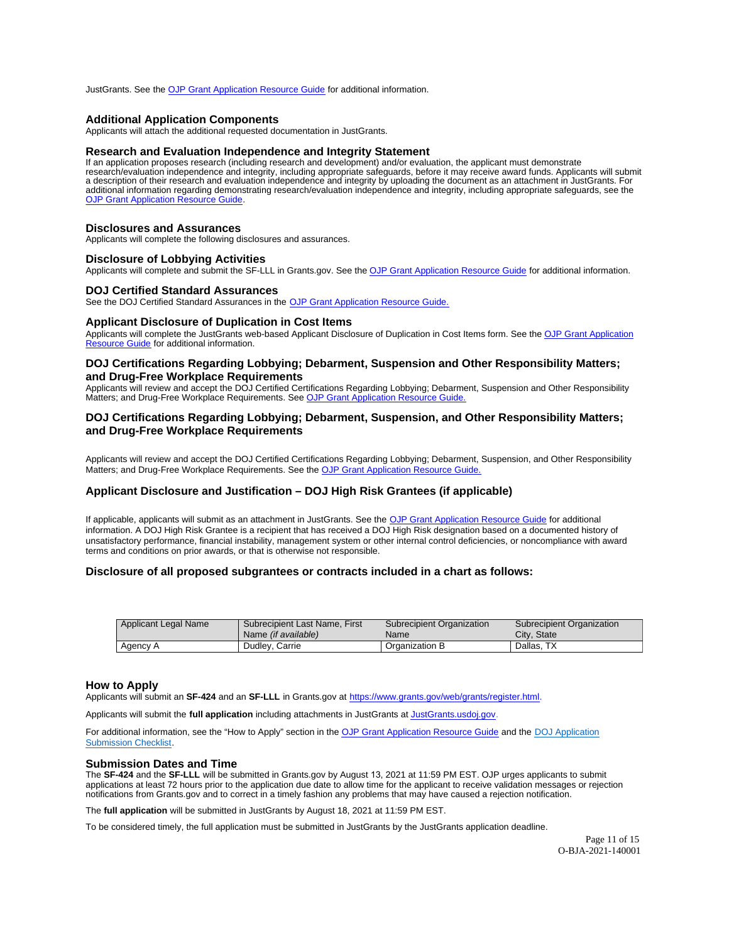<span id="page-10-0"></span>JustGrants. See the [OJP Grant Application Resource Guide](https://www.ojp.gov/funding/apply/ojp-grant-application-resource-guide#fm-internal-controls-questionnaire) for additional information.

#### **Additional Application Components**

Applicants will attach the additional requested documentation in JustGrants.

## **Research and Evaluation Independence and Integrity Statement**

If an application proposes research (including research and development) and/or evaluation, the applicant must demonstrate research/evaluation independence and integrity, including appropriate safeguards, before it may receive award funds. Applicants will submit<br>a description of their research and evaluation independence and integrity by uploa [OJP Grant Application Resource Guide.](https://www.ojp.gov/funding/apply/ojp-grant-application-resource-guide#research-evaluation)

#### **Disclosures and Assurances**

Applicants will complete the following disclosures and assurances.

#### **Disclosure of Lobbying Activities**

Applicants will complete and submit the SF-LLL in [Grants.gov](https://Grants.gov). See the [OJP Grant Application Resource Guide](https://www.ojp.gov/funding/apply/ojp-grant-application-resource-guide#apply) for additional information.

#### **DOJ Certified Standard Assurances**

See the DOJ Certified Standard Assurances in the [OJP Grant Application Resource Guide.](https://www.ojp.gov/funding/apply/ojp-grant-application-resource-guide#administrative) 

#### **Applicant Disclosure of Duplication in Cost Items**

Applicants will complete the JustGrants web-based Applicant Disclosure of Duplication in Cost Items form. See the [OJP Grant Application](https://www.ojp.gov/funding/apply/ojp-grant-application-resource-guide#applicant-disclosure-pending-applications)  [Resource Guide](https://www.ojp.gov/funding/apply/ojp-grant-application-resource-guide#applicant-disclosure-pending-applications) for additional information.

## **DOJ Certifications Regarding Lobbying; Debarment, Suspension and Other Responsibility Matters; and Drug-Free Workplace Requirements**

Applicants will review and accept the DOJ Certified Certifications Regarding Lobbying; Debarment, Suspension and Other Responsibility Matters; and Drug-Free Workplace Requirements. See OJP Grant Application Resource Guide

## **DOJ Certifications Regarding Lobbying; Debarment, Suspension, and Other Responsibility Matters; and Drug-Free Workplace Requirements**

Applicants will review and accept the DOJ Certified Certifications Regarding Lobbying; Debarment, Suspension, and Other Responsibility Matters; and Drug-Free Workplace Requirements. See the OJP Grant Application Resource Guide

## **Applicant Disclosure and Justification – DOJ High Risk Grantees (if applicable)**

If applicable, applicants will submit as an attachment in JustGrants. See the [OJP Grant Application Resource Guide](https://www.ojp.gov/funding/apply/ojp-grant-application-resource-guide) for additional information. A DOJ High Risk Grantee is a recipient that has received a DOJ High Risk designation based on a documented history of unsatisfactory performance, financial instability, management system or other internal control deficiencies, or noncompliance with award terms and conditions on prior awards, or that is otherwise not responsible.

## **Disclosure of all proposed subgrantees or contracts included in a chart as follows:**

| Applicant Legal Name | Subrecipient Last Name, First | Subrecipient Organization | Subrecipient Organization |
|----------------------|-------------------------------|---------------------------|---------------------------|
|                      | Name <i>(if available)</i>    | <b>Name</b>               | City, State               |
| Agency A             | Dudley, Carrie                | Organization B            | Dallas, TX                |

### **How to Apply**

Applicants will submit an **SF-424** and an **SF-LLL** in [Grants.gov](https://Grants.gov) at [https://www.grants.gov/web/grants/register.html.](https://www.grants.gov/web/grants/register.html)

Applicants will submit the **full application** including attachments in JustGrants at [JustGrants.usdoj.gov.](https://justicegrants.usdoj.gov/) 

For additional information, see the "How to Apply" section in the [OJP Grant Application Resource Guide](https://www.ojp.gov/funding/apply/ojp-grant-application-resource-guide#apply) and the [DOJ Application](https://justicegrants.usdoj.gov/sites/g/files/xyckuh296/files/media/document/appln-submission-checklist.pdf) [Submission Checklist.](https://justicegrants.usdoj.gov/sites/g/files/xyckuh296/files/media/document/appln-submission-checklist.pdf) 

#### **Submission Dates and Time**

The **SF-424** and the **SF-LLL** will be submitted in [Grants.gov](https://Grants.gov) by August 13, 2021 at 11:59 PM EST. OJP urges applicants to submit applications at least 72 hours prior to the application due date to allow time for the applicant to receive validation messages or rejection notifications from [Grants.gov](https://Grants.gov) and to correct in a timely fashion any problems that may have caused a rejection notification.

The **full application** will be submitted in JustGrants by August 18, 2021 at 11:59 PM EST.

To be considered timely, the full application must be submitted in JustGrants by the JustGrants application deadline.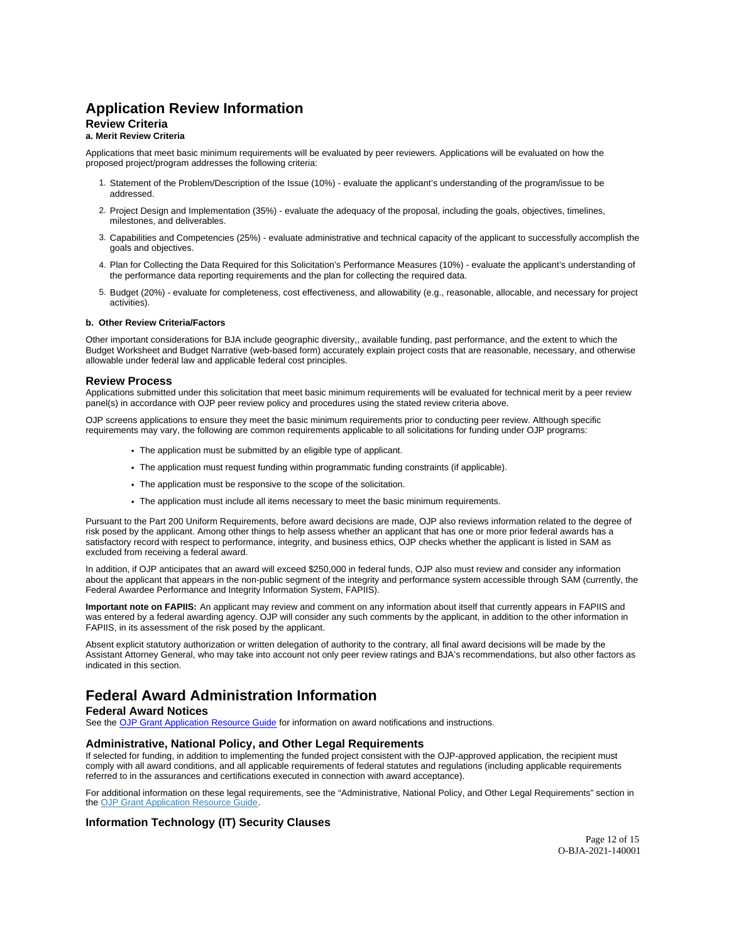## <span id="page-11-0"></span>**Application Review Information**

## **Review Criteria**

## **a. Merit Review Criteria**

Applications that meet basic minimum requirements will be evaluated by peer reviewers. Applications will be evaluated on how the proposed project/program addresses the following criteria:

- 1. Statement of the Problem/Description of the Issue (10%) evaluate the applicant's understanding of the program/issue to be addressed.
- 2. Project Design and Implementation (35%) evaluate the adequacy of the proposal, including the goals, objectives, timelines, milestones, and deliverables.
- 3. Capabilities and Competencies (25%) evaluate administrative and technical capacity of the applicant to successfully accomplish the goals and objectives.
- 4. Plan for Collecting the Data Required for this Solicitation's Performance Measures (10%) evaluate the applicant's understanding of the performance data reporting requirements and the plan for collecting the required data.
- 5. Budget (20%) evaluate for completeness, cost effectiveness, and allowability (e.g., reasonable, allocable, and necessary for project activities).

#### **b. Other Review Criteria/Factors**

Other important considerations for BJA include geographic diversity,, available funding, past performance, and the extent to which the Budget Worksheet and Budget Narrative (web-based form) accurately explain project costs that are reasonable, necessary, and otherwise allowable under federal law and applicable federal cost principles.

### **Review Process**

Applications submitted under this solicitation that meet basic minimum requirements will be evaluated for technical merit by a peer review panel(s) in accordance with OJP peer review policy and procedures using the stated review criteria above.

OJP screens applications to ensure they meet the basic minimum requirements prior to conducting peer review. Although specific requirements may vary, the following are common requirements applicable to all solicitations for funding under OJP programs:

- The application must be submitted by an eligible type of applicant.
- The application must request funding within programmatic funding constraints (if applicable).
- The application must be responsive to the scope of the solicitation.
- The application must include all items necessary to meet the basic minimum requirements.

Pursuant to the Part 200 Uniform Requirements, before award decisions are made, OJP also reviews information related to the degree of risk posed by the applicant. Among other things to help assess whether an applicant that has one or more prior federal awards has a satisfactory record with respect to performance, integrity, and business ethics, OJP checks whether the applicant is listed in SAM as excluded from receiving a federal award.

In addition, if OJP anticipates that an award will exceed \$250,000 in federal funds, OJP also must review and consider any information about the applicant that appears in the non-public segment of the integrity and performance system accessible through SAM (currently, the Federal Awardee Performance and Integrity Information System, FAPIIS).

**Important note on FAPIIS:** An applicant may review and comment on any information about itself that currently appears in FAPIIS and was entered by a federal awarding agency. OJP will consider any such comments by the applicant, in addition to the other information in FAPIIS, in its assessment of the risk posed by the applicant.

Absent explicit statutory authorization or written delegation of authority to the contrary, all final award decisions will be made by the Assistant Attorney General, who may take into account not only peer review ratings and BJA's recommendations, but also other factors as indicated in this section.

## **Federal Award Administration Information**

## **Federal Award Notices**

See the [OJP Grant Application Resource Guide](https://www.ojp.gov/funding/apply/ojp-grant-application-resource-guide#federal-award-notices) for information on award notifications and instructions.

## **Administrative, National Policy, and Other Legal Requirements**

If selected for funding, in addition to implementing the funded project consistent with the OJP-approved application, the recipient must comply with all award conditions, and all applicable requirements of federal statutes and regulations (including applicable requirements referred to in the assurances and certifications executed in connection with award acceptance).

For additional information on these legal requirements, see the "Administrative, National Policy, and Other Legal Requirements" section in the [OJP Grant Application Resource Guide.](https://www.ojp.gov/funding/apply/ojp-grant-application-resource-guide#administrative)

## **Information Technology (IT) Security Clauses**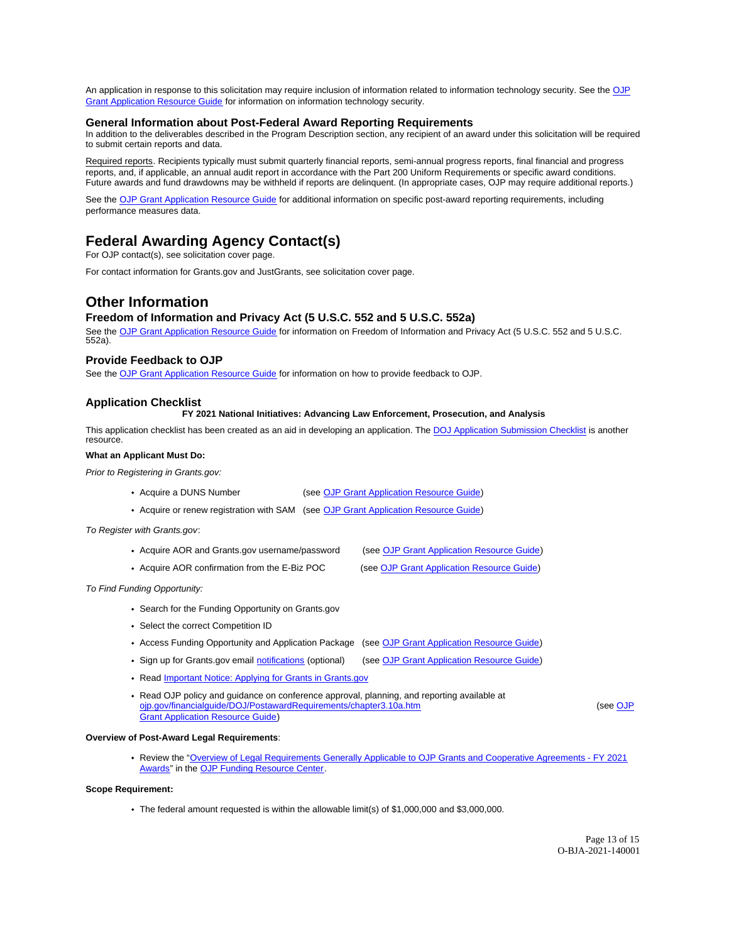<span id="page-12-0"></span>An application in response to this solicitation may require inclusion of information related to information technology security. See the OJP [Grant Application Resource Guide](https://www.ojp.gov/funding/apply/ojp-grant-application-resource-guide#information-technology) for information on information technology security.

## **General Information about Post-Federal Award Reporting Requirements**

In addition to the deliverables described in the Program Description section, any recipient of an award under this solicitation will be required to submit certain reports and data.

Required reports. Recipients typically must submit quarterly financial reports, semi-annual progress reports, final financial and progress reports, and, if applicable, an annual audit report in accordance with the Part 200 Uniform Requirements or specific award conditions. Future awards and fund drawdowns may be withheld if reports are delinquent. (In appropriate cases, OJP may require additional reports.)

See the [OJP Grant Application Resource Guide](https://www.ojp.gov/funding/Apply/Resources/Grant-App-Resource-Guide.htm) for additional information on specific post-award reporting requirements, including performance measures data.

## **Federal Awarding Agency Contact(s)**

For OJP contact(s), see solicitation cover page.

For contact information for [Grants.gov](https://Grants.gov) and JustGrants, see solicitation cover page.

## **Other Information**

## **Freedom of Information and Privacy Act (5 U.S.C. 552 and 5 U.S.C. 552a)**

See the [OJP Grant Application Resource Guide](https://www.ojp.gov/funding/apply/ojp-grant-application-resource-guide#foia) for information on Freedom of Information and Privacy Act (5 U.S.C. 552 and 5 U.S.C. 552a).

## **Provide Feedback to OJP**

See the [OJP Grant Application Resource Guide](https://www.ojp.gov/funding/apply/ojp-grant-application-resource-guide#feedback) for information on how to provide feedback to OJP.

## **Application Checklist**

**FY 2021 National Initiatives: Advancing Law Enforcement, Prosecution, and Analysis** 

This application checklist has been created as an aid in developing an application. The [DOJ Application Submission Checklist](https://justicegrants.usdoj.gov/sites/g/files/xyckuh296/files/media/document/appln-submission-checklist.pdf) is another resource.

#### **What an Applicant Must Do:**

Prior to Registering in [Grants.gov:](https://Grants.gov)

- Acquire a DUNS Number (see [OJP Grant Application Resource Guide\)](https://ojp.gov/funding/Apply/Resources/Grant-App-Resource-Guide.htm)
- Acquire or renew registration with SAM (see [OJP Grant Application Resource Guide\)](https://ojp.gov/funding/Apply/Resources/Grant-App-Resource-Guide.htm)

To Register with [Grants.gov](https://Grants.gov):

- Acquire AOR and [Grants.gov](https://Grants.gov) username/password (see [OJP Grant Application Resource Guide\)](https://ojp.gov/funding/Apply/Resources/Grant-App-Resource-Guide.htm)
- 
- 
- 
- Acquire AOR confirmation from the E-Biz POC (see [OJP Grant Application Resource Guide\)](https://ojp.gov/funding/Apply/Resources/Grant-App-Resource-Guide.htm)

To Find Funding Opportunity:

- Search for the Funding Opportunity on [Grants.gov](https://Grants.gov)
- Select the correct Competition ID
- Access Funding Opportunity and Application Package (see [OJP Grant Application Resource Guide\)](https://ojp.gov/funding/Apply/Resources/Grant-App-Resource-Guide.htm)
- Sign up for [Grants.gov](https://Grants.gov) email [notifications](https://www.grants.gov/web/grants/manage-subscriptions.html) (optional) (see [OJP Grant Application Resource Guide\)](https://ojp.gov/funding/Apply/Resources/Grant-App-Resource-Guide.htm)
- Read **Important Notice: Applying for Grants in Grants.gov**
- Read OJP policy and guidance on conference approval, planning, and reporting available at [ojp.gov/financialguide/DOJ/PostawardRequirements/chapter3.10a.htm](https://ojp.gov/financialguide/DOJ/PostawardRequirements/chapter3.10a.htm) (see OJP [Grant Application Resource Guide\)](https://ojp.gov/funding/Apply/Resources/Grant-App-Resource-Guide.htm)

#### **Overview of Post-Award Legal Requirements**:

Review the "[Overview of Legal Requirements Generally Applicable to OJP Grants and Cooperative Agreements - FY 2021](https://www.ojp.gov/funding/explore/legal-overview-fy-2021-awards)  [Awards"](https://www.ojp.gov/funding/explore/legal-overview-fy-2021-awards) in the [OJP Funding Resource Center.](https://www.ojp.gov/funding/index.htm)

#### **Scope Requirement:**

The federal amount requested is within the allowable limit(s) of \$1,000,000 and \$3,000,000.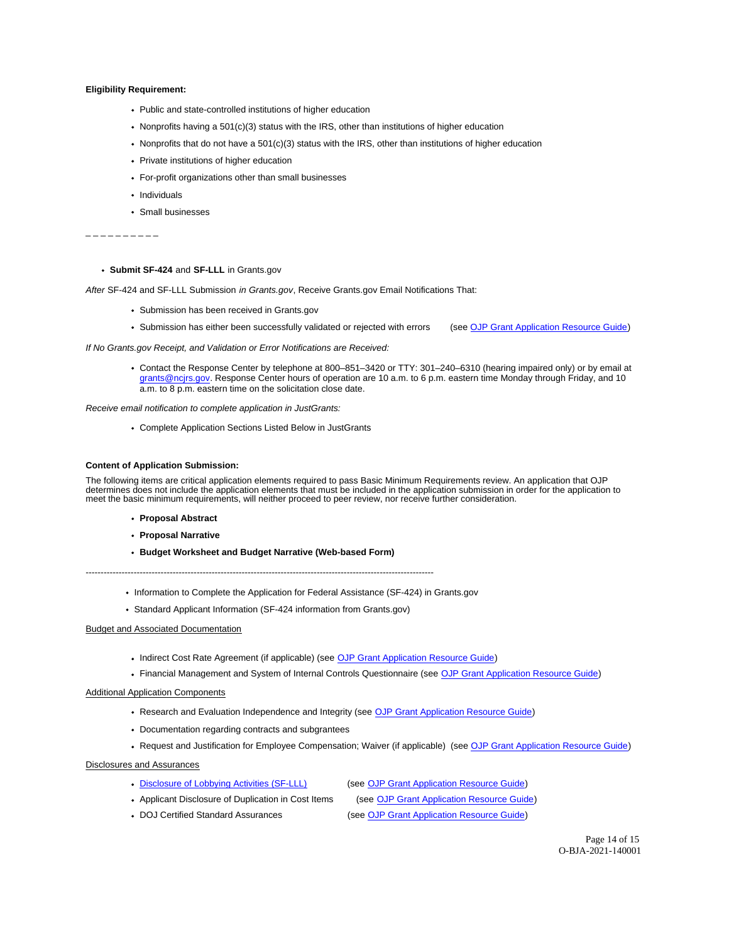#### **Eligibility Requirement:**

- Public and state-controlled institutions of higher education
- Nonprofits having a 501(c)(3) status with the IRS, other than institutions of higher education
- Nonprofits that do not have a 501(c)(3) status with the IRS, other than institutions of higher education
- Private institutions of higher education
- For-profit organizations other than small businesses
- Individuals
- Small businesses

```
_ _ _ _ _ _ _ _ _ _
```
#### **Submit SF-424** and **SF-LLL** in [Grants.gov](https://Grants.gov)

After SF-424 and SF-LLL Submission in [Grants.gov](https://Grants.gov), Receive [Grants.gov](https://Grants.gov) Email Notifications That:

- Submission has been received in [Grants.gov](https://Grants.gov)
- Submission has either been successfully validated or rejected with errors (see [OJP Grant Application Resource Guide\)](https://ojp.gov/funding/Apply/Resources/Grant-App-Resource-Guide.htm)

If No [Grants.gov](https://Grants.gov) Receipt, and Validation or Error Notifications are Received:

Contact the Response Center by telephone at 800–851–3420 or TTY: 301–240–6310 (hearing impaired only) or by email at [grants@ncjrs.gov.](mailto:grants@ncjrs.gov) Response Center hours of operation are 10 a.m. to 6 p.m. eastern time Monday through Friday, and 10 a.m. to 8 p.m. eastern time on the solicitation close date.

Receive email notification to complete application in JustGrants:

Complete Application Sections Listed Below in JustGrants

#### **Content of Application Submission:**

The following items are critical application elements required to pass Basic Minimum Requirements review. An application that OJP determines does not include the application elements that must be included in the application submission in order for the application to meet the basic minimum requirements, will neither proceed to peer review, nor receive further consideration.

- **Proposal Abstract**
- **Proposal Narrative**
- **Budget Worksheet and Budget Narrative (Web-based Form)**

--------------------------------------------------------------------------------------------------------------------

- Information to Complete the Application for Federal Assistance (SF-424) in Grants.gov
- Standard Applicant Information (SF-424 information from [Grants.gov](https://Grants.gov))

#### Budget and Associated Documentation

- Indirect Cost Rate Agreement (if applicable) (see [OJP Grant Application Resource Guide\)](https://ojp.gov/funding/Apply/Resources/Grant-App-Resource-Guide.htm)
- Financial Management and System of Internal Controls Questionnaire (see [OJP Grant Application Resource Guide\)](https://ojp.gov/funding/Apply/Resources/Grant-App-Resource-Guide.htm)

#### Additional Application Components

- Research and Evaluation Independence and Integrity (see [OJP Grant Application Resource Guide\)](https://ojp.gov/funding/Apply/Resources/Grant-App-Resource-Guide.htm)
- Documentation regarding contracts and subgrantees
- Request and Justification for Employee Compensation; Waiver (if applicable) (see [OJP Grant Application Resource Guide\)](https://ojp.gov/funding/Apply/Resources/Grant-App-Resource-Guide.htm)

Disclosures and Assurances

[Disclosure of Lobbying Activities \(SF-LLL\)](https://ojp.gov/funding/Apply/Resources/Disclosure.pdf) 

(see [OJP Grant Application Resource Guide\)](https://ojp.gov/funding/Apply/Resources/Grant-App-Resource-Guide.htm)

• Applicant Disclosure of Duplication in Cost Items DOJ Certified Standard Assurances

(see [OJP Grant Application Resource Guide\)](https://ojp.gov/funding/Apply/Resources/Grant-App-Resource-Guide.htm) (see [OJP Grant Application Resource Guide\)](https://ojp.gov/funding/Apply/Resources/Grant-App-Resource-Guide.htm)

> Page 14 of 15 O-BJA-2021-140001